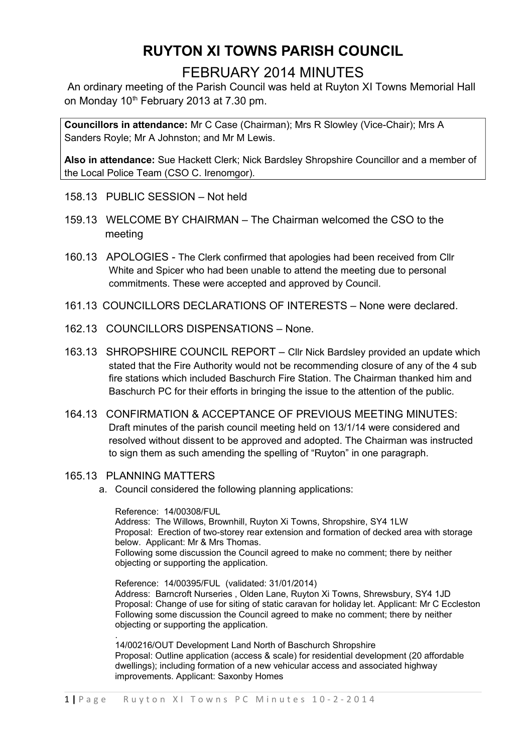# **RUYTON XI TOWNS PARISH COUNCIL**

### FEBRUARY 2014 MINUTES

An ordinary meeting of the Parish Council was held at Ruyton XI Towns Memorial Hall on Monday 10<sup>th</sup> February 2013 at 7.30 pm.

**Councillors in attendance:** Mr C Case (Chairman); Mrs R Slowley (Vice-Chair); Mrs A Sanders Royle; Mr A Johnston; and Mr M Lewis.

**Also in attendance:** Sue Hackett Clerk; Nick Bardsley Shropshire Councillor and a member of the Local Police Team (CSO C. Irenomgor).

- 158.13 PUBLIC SESSION Not held
- 159.13 WELCOME BY CHAIRMAN The Chairman welcomed the CSO to the meeting
- 160.13 APOLOGIES The Clerk confirmed that apologies had been received from Cllr White and Spicer who had been unable to attend the meeting due to personal commitments. These were accepted and approved by Council.
- 161.13 COUNCILLORS DECLARATIONS OF INTERESTS None were declared.
- 162.13 COUNCILLORS DISPENSATIONS None.
- 163.13 SHROPSHIRE COUNCIL REPORT Cllr Nick Bardsley provided an update which stated that the Fire Authority would not be recommending closure of any of the 4 sub fire stations which included Baschurch Fire Station. The Chairman thanked him and Baschurch PC for their efforts in bringing the issue to the attention of the public.
- 164.13 CONFIRMATION & ACCEPTANCE OF PREVIOUS MEETING MINUTES: Draft minutes of the parish council meeting held on 13/1/14 were considered and resolved without dissent to be approved and adopted. The Chairman was instructed to sign them as such amending the spelling of "Ruyton" in one paragraph.
- 165.13 PLANNING MATTERS
	- a. Council considered the following planning applications:

Reference: 14/00308/FUL Address: The Willows, Brownhill, Ruyton Xi Towns, Shropshire, SY4 1LW Proposal: Erection of two-storey rear extension and formation of decked area with storage below. Applicant: Mr & Mrs Thomas. Following some discussion the Council agreed to make no comment; there by neither objecting or supporting the application.

Reference: 14/00395/FUL (validated: 31/01/2014) Address: Barncroft Nurseries , Olden Lane, Ruyton Xi Towns, Shrewsbury, SY4 1JD Proposal: Change of use for siting of static caravan for holiday let. Applicant: Mr C Eccleston Following some discussion the Council agreed to make no comment; there by neither objecting or supporting the application.

. 14/00216/OUT Development Land North of Baschurch Shropshire Proposal: Outline application (access & scale) for residential development (20 affordable dwellings); including formation of a new vehicular access and associated highway improvements. Applicant: Saxonby Homes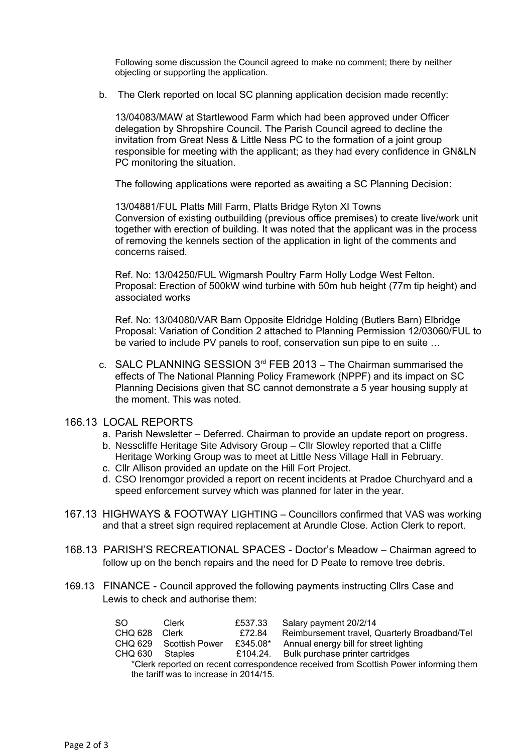Following some discussion the Council agreed to make no comment; there by neither objecting or supporting the application.

b. The Clerk reported on local SC planning application decision made recently:

13/04083/MAW at Startlewood Farm which had been approved under Officer delegation by Shropshire Council. The Parish Council agreed to decline the invitation from Great Ness & Little Ness PC to the formation of a joint group responsible for meeting with the applicant; as they had every confidence in GN&LN PC monitoring the situation.

The following applications were reported as awaiting a SC Planning Decision:

13/04881/FUL Platts Mill Farm, Platts Bridge Ryton XI Towns Conversion of existing outbuilding (previous office premises) to create live/work unit together with erection of building. It was noted that the applicant was in the process of removing the kennels section of the application in light of the comments and concerns raised.

Ref. No: 13/04250/FUL Wigmarsh Poultry Farm Holly Lodge West Felton. Proposal: Erection of 500kW wind turbine with 50m hub height (77m tip height) and associated works

Ref. No: 13/04080/VAR Barn Opposite Eldridge Holding (Butlers Barn) Elbridge Proposal: Variation of Condition 2 attached to Planning Permission 12/03060/FUL to be varied to include PV panels to roof, conservation sun pipe to en suite …

c. SALC PLANNING SESSION  $3^{rd}$  FEB 2013 – The Chairman summarised the effects of The National Planning Policy Framework (NPPF) and its impact on SC Planning Decisions given that SC cannot demonstrate a 5 year housing supply at the moment. This was noted.

#### 166.13 LOCAL REPORTS

- a. Parish Newsletter Deferred. Chairman to provide an update report on progress.
- b. Nesscliffe Heritage Site Advisory Group Cllr Slowley reported that a Cliffe Heritage Working Group was to meet at Little Ness Village Hall in February.
- c. Cllr Allison provided an update on the Hill Fort Project.
- d. CSO Irenomgor provided a report on recent incidents at Pradoe Churchyard and a speed enforcement survey which was planned for later in the year.
- 167.13 HIGHWAYS & FOOTWAY LIGHTING Councillors confirmed that VAS was working and that a street sign required replacement at Arundle Close. Action Clerk to report.
- 168.13 PARISH'S RECREATIONAL SPACES Doctor's Meadow Chairman agreed to follow up on the bench repairs and the need for D Peate to remove tree debris.
- 169.13 FINANCE Council approved the following payments instructing Cllrs Case and Lewis to check and authorise them:

| SO.                                                                                  | Clerk          | £537.33  | Salary payment 20/2/14                        |
|--------------------------------------------------------------------------------------|----------------|----------|-----------------------------------------------|
| CHQ 628                                                                              | Clerk          | £72.84   | Reimbursement travel, Quarterly Broadband/Tel |
| CHQ 629                                                                              | Scottish Power | £345.08* | Annual energy bill for street lighting        |
| CHQ 630                                                                              | Staples        |          | £104.24. Bulk purchase printer cartridges     |
| *Clerk reported on recent correspondence received from Scottish Power informing them |                |          |                                               |
| the tariff was to increase in 2014/15.                                               |                |          |                                               |